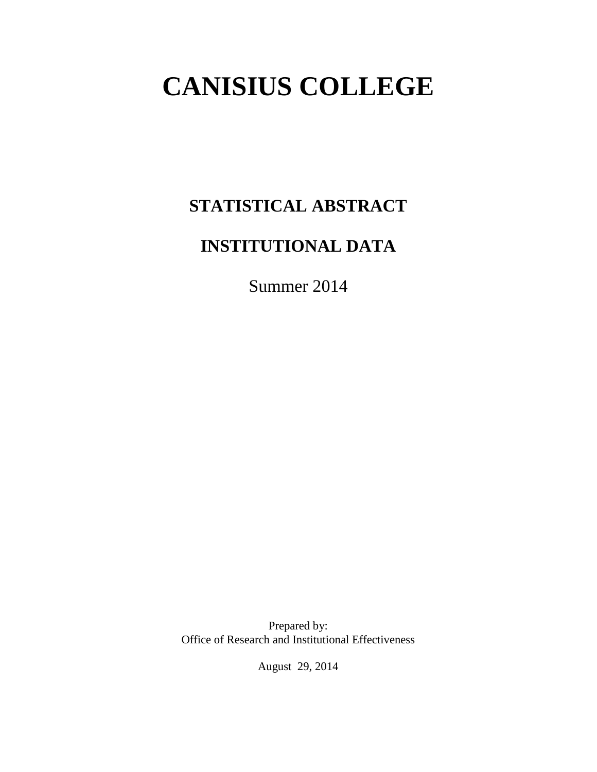# **CANISIUS COLLEGE**

# **STATISTICAL ABSTRACT**

# **INSTITUTIONAL DATA**

Summer 2014

Prepared by: Office of Research and Institutional Effectiveness

August 29, 2014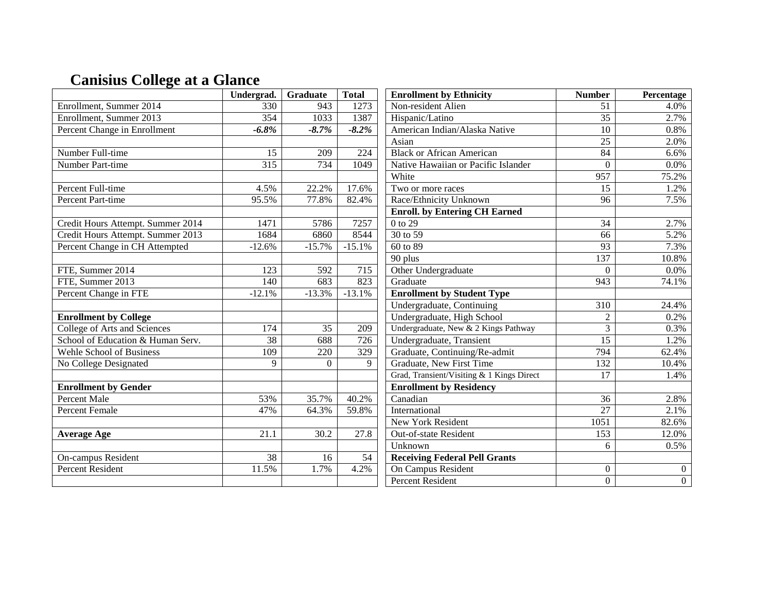# **Canisius College at a Glance**

|                                   | Undergrad.      | Graduate       | <b>Total</b>    | <b>Enrollment by Ethnicity</b>            | <b>Number</b>   | Percentage     |
|-----------------------------------|-----------------|----------------|-----------------|-------------------------------------------|-----------------|----------------|
| Enrollment, Summer 2014           | 330             | 943            | 1273            | Non-resident Alien                        | 51              | 4.0%           |
| Enrollment, Summer 2013           | 354             | 1033           | 1387            | Hispanic/Latino                           | $\overline{35}$ | 2.7%           |
| Percent Change in Enrollment      | $-6.8\%$        | $-8.7%$        | $-8.2\%$        | American Indian/Alaska Native             | 10              | 0.8%           |
|                                   |                 |                |                 | Asian                                     | 25              | 2.0%           |
| Number Full-time                  | 15              | 209            | 224             | <b>Black or African American</b>          | 84              | 6.6%           |
| Number Part-time                  | $\frac{1}{315}$ | 734            | 1049            | Native Hawaiian or Pacific Islander       | $\theta$        | 0.0%           |
|                                   |                 |                |                 | White                                     | 957             | 75.2%          |
| Percent Full-time                 | 4.5%            | 22.2%          | 17.6%           | Two or more races                         | 15              | 1.2%           |
| Percent Part-time                 | 95.5%           | 77.8%          | 82.4%           | Race/Ethnicity Unknown                    | 96              | 7.5%           |
|                                   |                 |                |                 | <b>Enroll.</b> by Entering CH Earned      |                 |                |
| Credit Hours Attempt. Summer 2014 | 1471            | 5786           | 7257            | 0 to 29                                   | $\overline{34}$ | 2.7%           |
| Credit Hours Attempt. Summer 2013 | 1684            | 6860           | 8544            | 30 to 59                                  | 66              | 5.2%           |
| Percent Change in CH Attempted    | $-12.6%$        | $-15.7%$       | $-15.1%$        | 60 to 89                                  | 93              | 7.3%           |
|                                   |                 |                |                 | 90 plus                                   | 137             | 10.8%          |
| FTE, Summer 2014                  | 123             | 592            | 715             | Other Undergraduate                       | $\theta$        | 0.0%           |
| FTE, Summer 2013                  | 140             | 683            | 823             | Graduate                                  | 943             | 74.1%          |
| Percent Change in FTE             | $-12.1%$        | $-13.3%$       | $-13.1%$        | <b>Enrollment by Student Type</b>         |                 |                |
|                                   |                 |                |                 | Undergraduate, Continuing                 | 310             | 24.4%          |
| <b>Enrollment by College</b>      |                 |                |                 | Undergraduate, High School                | $\overline{2}$  | 0.2%           |
| College of Arts and Sciences      | 174             | 35             | 209             | Undergraduate, New & 2 Kings Pathway      | 3               | 0.3%           |
| School of Education & Human Serv. | 38              | 688            | 726             | Undergraduate, Transient                  | $\overline{15}$ | 1.2%           |
| Wehle School of Business          | 109             | 220            | 329             | Graduate, Continuing/Re-admit             | 794             | 62.4%          |
| No College Designated             | 9               | $\overline{0}$ | 9               | Graduate, New First Time                  | 132             | 10.4%          |
|                                   |                 |                |                 | Grad, Transient/Visiting & 1 Kings Direct | 17              | 1.4%           |
| <b>Enrollment by Gender</b>       |                 |                |                 | <b>Enrollment by Residency</b>            |                 |                |
| <b>Percent Male</b>               | 53%             | 35.7%          | 40.2%           | Canadian                                  | 36              | 2.8%           |
| <b>Percent Female</b>             | 47%             | 64.3%          | 59.8%           | International                             | $\overline{27}$ | 2.1%           |
|                                   |                 |                |                 | New York Resident                         | 1051            | 82.6%          |
| <b>Average Age</b>                | 21.1            | 30.2           | 27.8            | Out-of-state Resident                     | 153             | 12.0%          |
|                                   |                 |                |                 | Unknown                                   | 6               | 0.5%           |
| On-campus Resident                | $\overline{38}$ | 16             | $\overline{54}$ | <b>Receiving Federal Pell Grants</b>      |                 |                |
| <b>Percent Resident</b>           | 11.5%           | 1.7%           | 4.2%            | On Campus Resident                        | $\overline{0}$  | $\overline{0}$ |
|                                   |                 |                |                 | <b>Percent Resident</b>                   | $\overline{0}$  | $\overline{0}$ |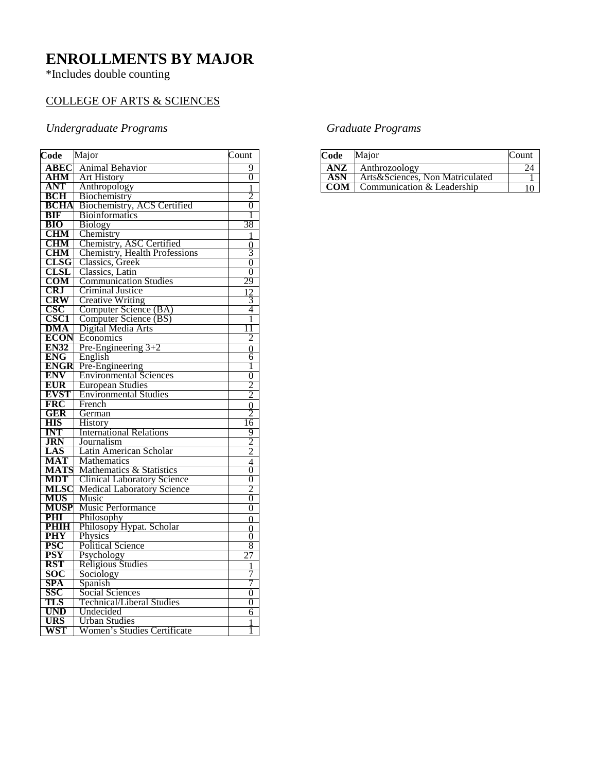### **ENROLLMENTS BY MAJOR**

\*Includes double counting

#### COLLEGE OF ARTS & SCIENCES

#### *Undergraduate Programs*

| Code               | Major                                  | Count               |
|--------------------|----------------------------------------|---------------------|
| ABEC               | <b>Animal Behavior</b>                 | 9                   |
| <b>AHM</b>         | <b>Art History</b>                     | 0                   |
| ANT                | Anthropology                           |                     |
| <b>BCH</b>         | Biochemistry                           | 2                   |
| <b>BCHA</b>        | Biochemistry, ACS Certified            | 0                   |
| <b>BIF</b>         | <b>Bioinformatics</b>                  | 1                   |
| <b>BIO</b>         | <b>Biology</b>                         | 38                  |
| <b>CHM</b>         | Chemistry                              | 1                   |
| <b>CHM</b>         | Chemistry, ASC Certified               |                     |
| <b>CHM</b>         | <b>Chemistry, Health Professions</b>   | $\frac{0}{3}$       |
| <b>CLSG</b>        | Classics, Greek                        | $\overline{0}$      |
| <b>CLSL</b>        | Classics, Latin                        | 0                   |
| <b>COM</b>         | <b>Communication Studies</b>           | 29                  |
| <b>CRJ</b>         | <b>Criminal Justice</b>                |                     |
| <b>CRW</b>         | <b>Creative Writing</b>                | $\frac{2}{3}$       |
| $\csc$             | Computer Science (BA)                  | 4                   |
| <b>CSC1</b>        | Computer Science (BS)                  | 1                   |
| <b>DMA</b>         | Digital Media Arts                     | 1                   |
| <b>ECON</b>        | Economics                              | 2                   |
| <b>EN32</b>        | Pre-Engineering $3+2$                  | $\Omega$            |
| <b>ENG</b>         | English                                | 6                   |
| <b>ENGR</b>        | Pre-Engineering                        | 1                   |
| <b>ENV</b>         | <b>Environmental Sciences</b>          | $\overline{0}$      |
| <b>EUR</b>         | <b>European Studies</b>                | $\overline{2}$      |
| <b>EVST</b>        | <b>Environmental Studies</b>           | $\overline{2}$      |
| <b>FRC</b>         | French                                 | $\overline{0}$      |
| <b>GER</b>         | German                                 | 2                   |
| <b>HIS</b>         | History                                | 16                  |
| INT                | <b>International Relations</b>         | 9                   |
| <b>JRN</b>         | Journalism                             | $\overline{2}$      |
| LAS                | Latin American Scholar                 | $\overline{2}$      |
| <b>MAT</b>         | Mathematics                            | $\frac{4}{0}$       |
| <b>MATS</b>        | Mathematics & Statistics               |                     |
| <b>MDT</b>         | <b>Clinical Laboratory Science</b>     | $\theta$            |
| MLSC               | <b>Medical Laboratory Science</b>      | $\overline{2}$      |
| <b>MUS</b>         | Music                                  | $\overline{0}$      |
| <b>MUSP</b>        | Music Performance                      | $\overline{0}$      |
| PHI                | Philosophy<br>Philosopy Hypat. Scholar | $\Omega$            |
| PHIH<br><b>PHY</b> | Physics                                | 0<br>$\overline{0}$ |
| PSC                | <b>Political Science</b>               | 8                   |
| <b>PSY</b>         | Psychology                             | 27                  |
| <b>RST</b>         | Religious Studies                      |                     |
| <b>SOC</b>         | Sociology                              | $\frac{1}{7}$       |
| SPA                | Spanish                                | 7                   |
| SSC                | Social Sciences                        | 0                   |
| TLS                | <b>Technical/Liberal Studies</b>       | 0                   |
| UND                | Undecided                              | 6                   |
| URS                | <b>Urban Studies</b>                   | 1                   |
| WST                | Women's Studies Certificate            | 1                   |
|                    |                                        |                     |

#### *Graduate Programs*

| Code       | Major                             | Count |
|------------|-----------------------------------|-------|
| <b>ANZ</b> | Anthrozoology                     |       |
| <b>ASN</b> | Arts & Sciences, Non Matriculated |       |
| <b>COM</b> | Communication & Leadership        |       |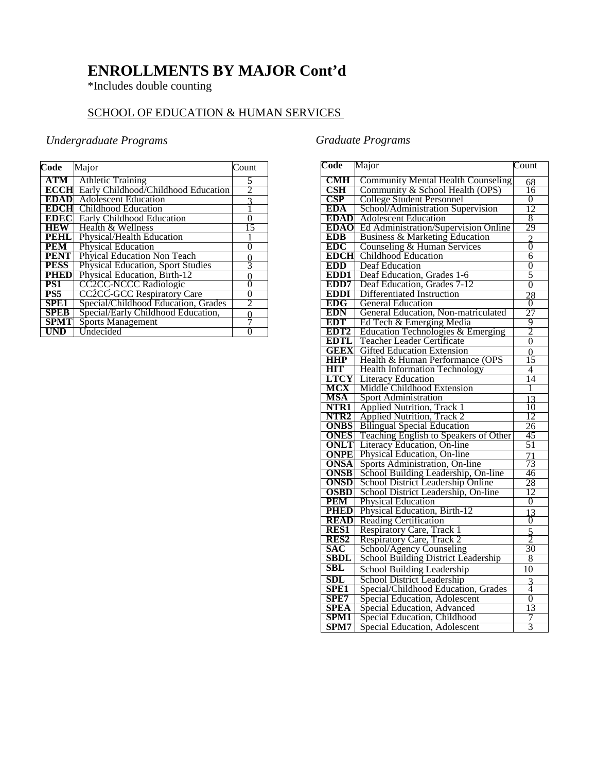### **ENROLLMENTS BY MAJOR Cont'd**

\*Includes double counting

#### SCHOOL OF EDUCATION & HUMAN SERVICES

#### *Undergraduate Programs*

| Code        | Major                                    | Count          |
|-------------|------------------------------------------|----------------|
| ATM 1       | <b>Athletic Training</b>                 | 5              |
| <b>ECCH</b> | Early Childhood/Childhood Education      | $\overline{2}$ |
| <b>EDAD</b> | <b>Adolescent Education</b>              | 3              |
| <b>EDCH</b> | <b>Childhood Education</b>               |                |
| EDECI       | <b>Early Childhood Education</b>         | 0              |
| <b>HEW</b>  | Health & Wellness                        | 15             |
| <b>PEHL</b> | Physical/Health Education                |                |
| <b>PEM</b>  | <b>Physical Education</b>                | $\theta$       |
| <b>PENT</b> | Phyical Education Non Teach              | $\frac{0}{3}$  |
| <b>PESS</b> | <b>Physical Education, Sport Studies</b> |                |
| <b>PHED</b> | Physical Education, Birth-12             | 0              |
| PS1         | <b>CC2CC-NCCC Radiologic</b>             | $\overline{0}$ |
| PS5         | <b>CC2CC-GCC Respiratory Care</b>        | 0              |
| SPE1        | Special/Childhood Education, Grades      | 2              |
| <b>SPEB</b> | Special/Early Childhood Education,       | 0              |
| <b>SPMT</b> | <b>Sports Management</b>                 |                |
| UND         | Undecided                                |                |

#### *Graduate Programs*

| Code                          | Major                                                 | Count           |
|-------------------------------|-------------------------------------------------------|-----------------|
| <b>CMH</b>                    | <b>Community Mental Health Counseling</b>             | 68              |
| $\overline{\text{CSH}}$       | Community & School Health (OPS)                       | 16              |
| <b>CSP</b>                    | College Student Personnel                             | 0               |
| <b>EDA</b>                    | School/Administration Supervision                     | 12              |
| <b>EDAD</b>                   | <b>Adolescent Education</b>                           | 8               |
| <b>EDAO</b>                   | Ed Administration/Supervision Online                  | 29              |
| <b>EDB</b>                    | <b>Business &amp; Marketing Education</b>             |                 |
| <b>EDC</b>                    | Counseling & Human Services                           | $\frac{2}{0}$   |
| <b>EDCH</b>                   | Childhood Education                                   | 6               |
| <b>EDD</b>                    | Deaf Education                                        | 0               |
| EDD1                          | Deaf Education, Grades 1-6                            | 5               |
| EDD7                          | Deaf Education, Grades 7-12                           | $\overline{0}$  |
| <b>EDDI</b>                   | Differentiated Instruction                            | 28              |
| <b>EDG</b>                    | <b>General Education</b>                              | $\Omega$        |
| <b>EDN</b>                    | General Education, Non-matriculated                   | 27              |
| <b>EDT</b>                    | Ed Tech & Emerging Media                              | 9               |
| EDT <sub>2</sub>              | Education Technologies & Emerging                     | $\overline{2}$  |
| <b>EDTL</b>                   | Teacher Leader Certificate                            | $\overline{0}$  |
| <b>GEEX</b>                   | <b>Gifted Education Extension</b>                     | $\overline{0}$  |
| <b>HHP</b>                    | Health & Human Performance (OPS                       | 15              |
| <b>HIT</b>                    | <b>Health Information Technology</b>                  | 4               |
| <b>LTCY</b>                   | <b>Literacy Education</b>                             | 14              |
| <b>MCX</b>                    | Middle Childhood Extension                            | 1               |
| <b>MSA</b>                    | <b>Sport Administration</b>                           | 13              |
| NTR <sub>1</sub>              | <b>Applied Nutrition, Track 1</b>                     | $\overline{10}$ |
| NTR <sub>2</sub>              | <b>Applied Nutrition, Track 2</b>                     | 12              |
| <b>ONBS</b>                   | <b>Bilingual Special Education</b>                    | 26              |
| <b>ONES</b>                   | Teaching English to Speakers of Other                 | 45              |
| <b>ONLT</b>                   | Literacy Education, On-line                           | 51              |
| <b>ONPE</b>                   | Physical Education, On-line                           | $\overline{71}$ |
| ONSA                          | Sports Administration, On-line                        | 73              |
| <b>ONSB</b>                   | School Building Leadership, On-line                   | 46              |
| <b>ONSD</b>                   | School District Leadership Online                     | 28              |
| <b>OSBD</b>                   | School District Leadership, On-line                   | 12              |
| <b>PEM</b>                    | <b>Physical Education</b>                             | 0               |
| <b>PHED</b>                   | Physical Education, Birth-12                          | $\overline{13}$ |
| <b>READ</b>                   | <b>Reading Certification</b>                          | $\overline{0}$  |
| RES1                          | Respiratory Care, Track 1                             | $\frac{5}{2}$   |
| RES <sub>2</sub>              | Respiratory Care, Track 2<br>School/Agency Counseling |                 |
| SAC                           |                                                       | 30              |
| <b>SBDL</b>                   | <b>School Building District Leadership</b>            | 8               |
| $\operatorname{\mathbf{SBL}}$ | School Building Leadership                            | 10              |
| <b>SDL</b>                    | <b>School District Leadership</b>                     | $\frac{3}{4}$   |
| <b>SPE1</b>                   | Special/Childhood Education, Grades                   |                 |
| SPE7                          | Special Education, Adolescent                         | $\overline{0}$  |
| <b>SPEA</b>                   | Special Education, Advanced                           | 13              |
| SPM1                          | Special Education, Childhood                          | 7               |
| SPM7                          | Special Education, Adolescent                         | 3               |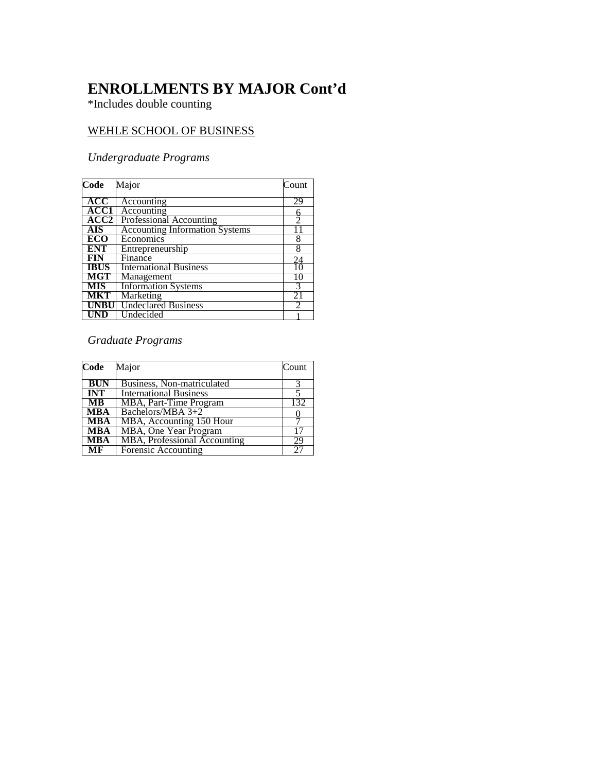### **ENROLLMENTS BY MAJOR Cont'd**

\*Includes double counting

#### WEHLE SCHOOL OF BUSINESS

#### *Undergraduate Programs*

| Code        | Major                                 | Count          |
|-------------|---------------------------------------|----------------|
| ACC         | Accounting                            | 29             |
| ACC1        | Accounting                            | 6              |
| ACC2        | <b>Professional Accounting</b>        | $\overline{2}$ |
| <b>AIS</b>  | <b>Accounting Information Systems</b> | 11             |
| <b>ECO</b>  | Economics                             | 8              |
| <b>ENT</b>  | Entrepreneurship                      | 8              |
| <b>FIN</b>  | Finance                               | 24             |
| <b>IBUS</b> | <b>International Business</b>         | 10             |
| <b>MGT</b>  | Management                            | 10             |
| <b>MIS</b>  | <b>Information Systems</b>            | 3              |
| <b>MKT</b>  | Marketing                             | 21             |
| <b>UNBU</b> | <b>Undeclared Business</b>            | 2              |
| UND         | Undecided                             |                |

#### *Graduate Programs*

| Code                   | Major                         | Count |
|------------------------|-------------------------------|-------|
| <b>BUN</b>             | Business, Non-matriculated    |       |
| <b>INT</b>             | <b>International Business</b> |       |
| $\overline{MB}$        | MBA, Part-Time Program        | 132   |
| <b>MBA</b>             | Bachelors/MBA 3+2             |       |
| <b>MBA</b>             | MBA, Accounting 150 Hour      |       |
| <b>MBA</b>             | <b>MBA, One Year Program</b>  |       |
| <b>MBA</b>             | MBA, Professional Accounting  | 29    |
| $\overline{\text{MF}}$ | Forensic Accounting           | 27    |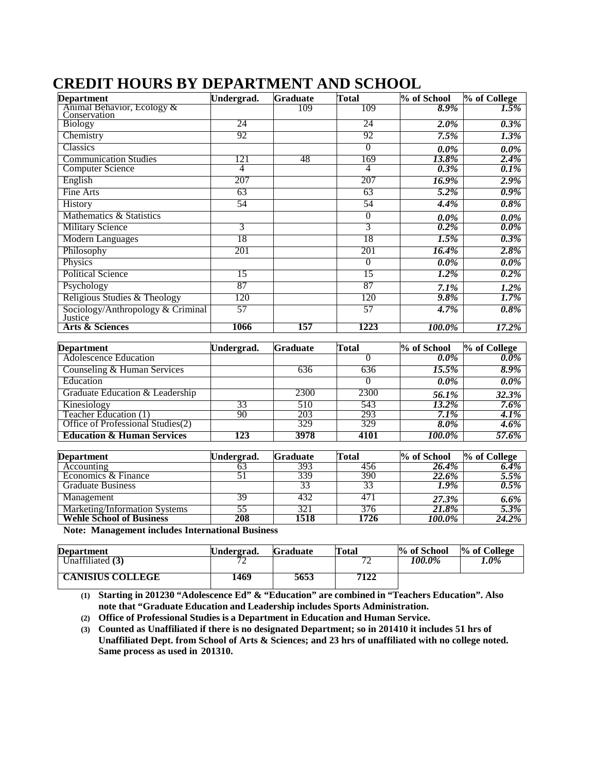| <b>Department</b>                            | Undergrad.     | <b>Graduate</b> | <b>Total</b>   | % of School | % of College |
|----------------------------------------------|----------------|-----------------|----------------|-------------|--------------|
| Animal Behavior, Ecology &<br>Conservation   |                | 109             | 109            | $8.9\%$     | $1.5\%$      |
| <b>Biology</b>                               | 24             |                 | 24             | $2.0\%$     | $0.3\%$      |
| Chemistry                                    | 92             |                 | 92             | $7.5\%$     | $1.3\%$      |
| Classics                                     |                |                 | $\overline{0}$ | $0.0\%$     | $0.0\%$      |
| <b>Communication Studies</b>                 | 121            | 48              | 169            | 13.8%       | $2.4\%$      |
| <b>Computer Science</b>                      | $\overline{4}$ |                 | $\overline{4}$ | $0.3\%$     | $0.1\%$      |
| English                                      | 207            |                 | 207            | 16.9%       | $2.9\%$      |
| Fine Arts                                    | 63             |                 | 63             | $5.2\%$     | $0.9\%$      |
| History                                      | 54             |                 | 54             | 4.4%        | $0.8\%$      |
| Mathematics & Statistics                     |                |                 | $\theta$       | $0.0\%$     | $0.0\%$      |
| <b>Military Science</b>                      | 3              |                 | 3              | $0.2\%$     | $0.0\%$      |
| Modern Languages                             | 18             |                 | 18             | $1.5\%$     | $0.3\%$      |
| Philosophy                                   | 201            |                 | 201            | 16.4%       | $2.8\%$      |
| Physics                                      |                |                 | $\theta$       | $0.0\%$     | $0.0\%$      |
| <b>Political Science</b>                     | 15             |                 | 15             | $1.2\%$     | $0.2\%$      |
| Psychology                                   | 87             |                 | 87             | $7.1\%$     | $1.2\%$      |
| Religious Studies & Theology                 | 120            |                 | 120            | $9.8\%$     | $1.7\%$      |
| Sociology/Anthropology & Criminal<br>Justice | 57             |                 | 57             | 4.7%        | $0.8\%$      |
| <b>Arts &amp; Sciences</b>                   | 1066           | 157             | 1223           | 100.0%      | 17.2%        |

### **CREDIT HOURS BY DEPARTMENT AND SCHOOL**

| <b>Department</b>                     | Undergrad. | <b>Graduate</b> | Total | % of School | % of College |
|---------------------------------------|------------|-----------------|-------|-------------|--------------|
| <b>Adolescence Education</b>          |            |                 |       | $0.0\%$     | $0.0\%$      |
| Counseling & Human Services           |            | 636             | 636   | $15.5\%$    | 8.9%         |
| Education                             |            |                 |       | $0.0\%$     | $0.0\%$      |
| Graduate Education & Leadership       |            | 2300            | 2300  | 56.1%       | 32.3%        |
| Kinesiology                           | 33         | 510             | 543   | 13.2%       | 7.6%         |
| Teacher Education (1)                 | 90         | 203             | 293   | $7.1\%$     | 4.1%         |
| Office of Professional Studies(2)     |            | 329             | 329   | $8.0\%$     | $4.6\%$      |
| <b>Education &amp; Human Services</b> | 123        | 3978            | 4101  | 100.0%      | 57.6%        |

| <b>Department</b>               | Undergrad. | <b>Graduate</b> | Total | % of School          | % of College       |
|---------------------------------|------------|-----------------|-------|----------------------|--------------------|
| Accounting                      |            | 393             | 456   | <b>26.4%</b>         | $\overline{6.4\%}$ |
| Economics & Finance             |            | 339             | 390   | <b>22.6%</b>         | 5.5%               |
| <b>Graduate Business</b>        |            |                 |       | 1.9%                 | $0.5\%$            |
| Management                      | 39         | 432             |       | 27.3%                | $6.6\%$            |
| Marketing/Information Systems   | 55         | 321             | 376   | 21.8%                | 5.3%               |
| <b>Wehle School of Business</b> | 208        | 1518            | 1726  | $100.\overline{0\%}$ | 24.2%              |

**Note: Management includes International Business**

| <b>Department</b>       | Undergrad. | <b>Graduate</b> | Total | % of School | % of College |
|-------------------------|------------|-----------------|-------|-------------|--------------|
| Unaffiliated $(3)$      |            |                 |       | 100.0%      | 1.0%         |
| <b>CANISIUS COLLEGE</b> | 1469       | 5653            | 7122  |             |              |

**(1) Starting in 201230 "Adolescence Ed" & "Education" are combined in "Teachers Education". Also note that "Graduate Education and Leadership includes Sports Administration.**

**(2) Office of Professional Studies is a Department in Education and Human Service.**

**(3) Counted as Unaffiliated if there is no designated Department; so in 201410 it includes 51 hrs of Unaffiliated Dept. from School of Arts & Sciences; and 23 hrs of unaffiliated with no college noted. Same process as used in 201310.**